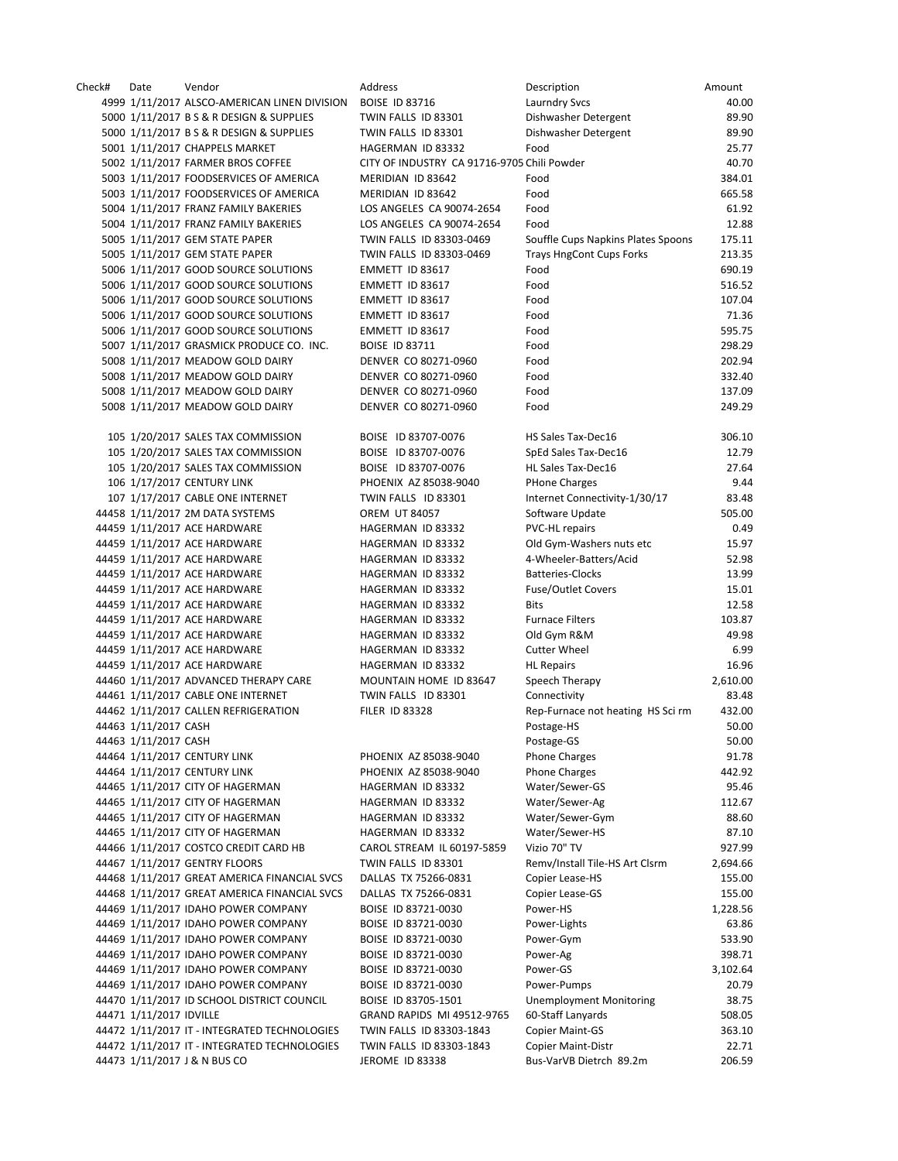| Check# | Date                    | Vendor                                       | Address                                     | Description                        | Amount   |
|--------|-------------------------|----------------------------------------------|---------------------------------------------|------------------------------------|----------|
|        |                         | 4999 1/11/2017 ALSCO-AMERICAN LINEN DIVISION | <b>BOISE ID 83716</b>                       | <b>Laurndry Svcs</b>               | 40.00    |
|        |                         | 5000 1/11/2017 B S & R DESIGN & SUPPLIES     | TWIN FALLS ID 83301                         | Dishwasher Detergent               | 89.90    |
|        |                         | 5000 1/11/2017 B S & R DESIGN & SUPPLIES     | TWIN FALLS ID 83301                         | Dishwasher Detergent               | 89.90    |
|        |                         | 5001 1/11/2017 CHAPPELS MARKET               | HAGERMAN ID 83332                           | Food                               | 25.77    |
|        |                         |                                              |                                             |                                    |          |
|        |                         | 5002 1/11/2017 FARMER BROS COFFEE            | CITY OF INDUSTRY CA 91716-9705 Chili Powder |                                    | 40.70    |
|        |                         | 5003 1/11/2017 FOODSERVICES OF AMERICA       | MERIDIAN ID 83642                           | Food                               | 384.01   |
|        |                         | 5003 1/11/2017 FOODSERVICES OF AMERICA       | MERIDIAN ID 83642                           | Food                               | 665.58   |
|        |                         | 5004 1/11/2017 FRANZ FAMILY BAKERIES         | LOS ANGELES CA 90074-2654                   | Food                               | 61.92    |
|        |                         | 5004 1/11/2017 FRANZ FAMILY BAKERIES         | LOS ANGELES CA 90074-2654                   | Food                               | 12.88    |
|        |                         | 5005 1/11/2017 GEM STATE PAPER               | TWIN FALLS ID 83303-0469                    | Souffle Cups Napkins Plates Spoons | 175.11   |
|        |                         | 5005 1/11/2017 GEM STATE PAPER               | TWIN FALLS ID 83303-0469                    | <b>Trays HngCont Cups Forks</b>    | 213.35   |
|        |                         | 5006 1/11/2017 GOOD SOURCE SOLUTIONS         | EMMETT ID 83617                             | Food                               | 690.19   |
|        |                         | 5006 1/11/2017 GOOD SOURCE SOLUTIONS         | EMMETT ID 83617                             | Food                               | 516.52   |
|        |                         |                                              |                                             |                                    |          |
|        |                         | 5006 1/11/2017 GOOD SOURCE SOLUTIONS         | EMMETT ID 83617                             | Food                               | 107.04   |
|        |                         | 5006 1/11/2017 GOOD SOURCE SOLUTIONS         | EMMETT ID 83617                             | Food                               | 71.36    |
|        |                         | 5006 1/11/2017 GOOD SOURCE SOLUTIONS         | EMMETT ID 83617                             | Food                               | 595.75   |
|        |                         | 5007 1/11/2017 GRASMICK PRODUCE CO. INC.     | <b>BOISE ID 83711</b>                       | Food                               | 298.29   |
|        |                         | 5008 1/11/2017 MEADOW GOLD DAIRY             | DENVER CO 80271-0960                        | Food                               | 202.94   |
|        |                         | 5008 1/11/2017 MEADOW GOLD DAIRY             | DENVER CO 80271-0960                        | Food                               | 332.40   |
|        |                         | 5008 1/11/2017 MEADOW GOLD DAIRY             | DENVER CO 80271-0960                        | Food                               | 137.09   |
|        |                         | 5008 1/11/2017 MEADOW GOLD DAIRY             | DENVER CO 80271-0960                        | Food                               | 249.29   |
|        |                         |                                              |                                             |                                    |          |
|        |                         |                                              |                                             |                                    |          |
|        |                         | 105 1/20/2017 SALES TAX COMMISSION           | BOISE ID 83707-0076                         | HS Sales Tax-Dec16                 | 306.10   |
|        |                         | 105 1/20/2017 SALES TAX COMMISSION           | BOISE ID 83707-0076                         | SpEd Sales Tax-Dec16               | 12.79    |
|        |                         | 105 1/20/2017 SALES TAX COMMISSION           | BOISE ID 83707-0076                         | HL Sales Tax-Dec16                 | 27.64    |
|        |                         | 106 1/17/2017 CENTURY LINK                   | PHOENIX AZ 85038-9040                       | <b>PHone Charges</b>               | 9.44     |
|        |                         | 107 1/17/2017 CABLE ONE INTERNET             | TWIN FALLS ID 83301                         | Internet Connectivity-1/30/17      | 83.48    |
|        |                         | 44458 1/11/2017 2M DATA SYSTEMS              | <b>OREM UT 84057</b>                        | Software Update                    | 505.00   |
|        |                         | 44459 1/11/2017 ACE HARDWARE                 | HAGERMAN ID 83332                           | PVC-HL repairs                     | 0.49     |
|        |                         | 44459 1/11/2017 ACE HARDWARE                 | HAGERMAN ID 83332                           | Old Gym-Washers nuts etc           | 15.97    |
|        |                         |                                              |                                             |                                    |          |
|        |                         | 44459 1/11/2017 ACE HARDWARE                 | HAGERMAN ID 83332                           | 4-Wheeler-Batters/Acid             | 52.98    |
|        |                         | 44459 1/11/2017 ACE HARDWARE                 | HAGERMAN ID 83332                           | <b>Batteries-Clocks</b>            | 13.99    |
|        |                         | 44459 1/11/2017 ACE HARDWARE                 | HAGERMAN ID 83332                           | <b>Fuse/Outlet Covers</b>          | 15.01    |
|        |                         | 44459 1/11/2017 ACE HARDWARE                 | HAGERMAN ID 83332                           | <b>Bits</b>                        | 12.58    |
|        |                         | 44459 1/11/2017 ACE HARDWARE                 | HAGERMAN ID 83332                           | <b>Furnace Filters</b>             | 103.87   |
|        |                         | 44459 1/11/2017 ACE HARDWARE                 | HAGERMAN ID 83332                           | Old Gym R&M                        | 49.98    |
|        |                         | 44459 1/11/2017 ACE HARDWARE                 | HAGERMAN ID 83332                           | <b>Cutter Wheel</b>                | 6.99     |
|        |                         | 44459 1/11/2017 ACE HARDWARE                 | HAGERMAN ID 83332                           | <b>HL Repairs</b>                  | 16.96    |
|        |                         | 44460 1/11/2017 ADVANCED THERAPY CARE        | MOUNTAIN HOME ID 83647                      | Speech Therapy                     | 2,610.00 |
|        |                         |                                              |                                             |                                    |          |
|        |                         | 44461 1/11/2017 CABLE ONE INTERNET           | TWIN FALLS ID 83301                         | Connectivity                       | 83.48    |
|        |                         | 44462 1/11/2017 CALLEN REFRIGERATION         | <b>FILER ID 83328</b>                       | Rep-Furnace not heating HS Sci rm  | 432.00   |
|        | 44463 1/11/2017 CASH    |                                              |                                             | Postage-HS                         | 50.00    |
|        | 44463 1/11/2017 CASH    |                                              |                                             | Postage-GS                         | 50.00    |
|        |                         | 44464 1/11/2017 CENTURY LINK                 | PHOENIX AZ 85038-9040                       | <b>Phone Charges</b>               | 91.78    |
|        |                         | 44464 1/11/2017 CENTURY LINK                 | PHOENIX AZ 85038-9040                       | <b>Phone Charges</b>               | 442.92   |
|        |                         | 44465 1/11/2017 CITY OF HAGERMAN             | HAGERMAN ID 83332                           | Water/Sewer-GS                     | 95.46    |
|        |                         | 44465 1/11/2017 CITY OF HAGERMAN             | HAGERMAN ID 83332                           | Water/Sewer-Ag                     | 112.67   |
|        |                         |                                              |                                             | Water/Sewer-Gym                    |          |
|        |                         | 44465 1/11/2017 CITY OF HAGERMAN             | HAGERMAN ID 83332                           |                                    | 88.60    |
|        |                         | 44465 1/11/2017 CITY OF HAGERMAN             | HAGERMAN ID 83332                           | Water/Sewer-HS                     | 87.10    |
|        |                         | 44466 1/11/2017 COSTCO CREDIT CARD HB        | CAROL STREAM IL 60197-5859                  | Vizio 70" TV                       | 927.99   |
|        |                         | 44467 1/11/2017 GENTRY FLOORS                | TWIN FALLS ID 83301                         | Remv/Install Tile-HS Art Clsrm     | 2,694.66 |
|        |                         | 44468 1/11/2017 GREAT AMERICA FINANCIAL SVCS | DALLAS TX 75266-0831                        | Copier Lease-HS                    | 155.00   |
|        |                         | 44468 1/11/2017 GREAT AMERICA FINANCIAL SVCS | DALLAS TX 75266-0831                        | Copier Lease-GS                    | 155.00   |
|        |                         | 44469 1/11/2017 IDAHO POWER COMPANY          | BOISE ID 83721-0030                         | Power-HS                           | 1,228.56 |
|        |                         | 44469 1/11/2017 IDAHO POWER COMPANY          | BOISE ID 83721-0030                         | Power-Lights                       | 63.86    |
|        |                         |                                              |                                             |                                    |          |
|        |                         | 44469 1/11/2017 IDAHO POWER COMPANY          | BOISE ID 83721-0030                         | Power-Gym                          | 533.90   |
|        |                         | 44469 1/11/2017 IDAHO POWER COMPANY          | BOISE ID 83721-0030                         | Power-Ag                           | 398.71   |
|        |                         | 44469 1/11/2017 IDAHO POWER COMPANY          | BOISE ID 83721-0030                         | Power-GS                           | 3,102.64 |
|        |                         | 44469 1/11/2017 IDAHO POWER COMPANY          | BOISE ID 83721-0030                         | Power-Pumps                        | 20.79    |
|        |                         | 44470 1/11/2017 ID SCHOOL DISTRICT COUNCIL   | BOISE ID 83705-1501                         | <b>Unemployment Monitoring</b>     | 38.75    |
|        | 44471 1/11/2017 IDVILLE |                                              | GRAND RAPIDS MI 49512-9765                  | 60-Staff Lanyards                  | 508.05   |
|        |                         | 44472 1/11/2017 IT - INTEGRATED TECHNOLOGIES | TWIN FALLS ID 83303-1843                    | <b>Copier Maint-GS</b>             | 363.10   |
|        |                         | 44472 1/11/2017 IT - INTEGRATED TECHNOLOGIES | TWIN FALLS ID 83303-1843                    | <b>Copier Maint-Distr</b>          | 22.71    |
|        |                         |                                              |                                             |                                    |          |
|        |                         | 44473 1/11/2017 J & N BUS CO                 | JEROME ID 83338                             | Bus-VarVB Dietrch 89.2m            | 206.59   |
|        |                         |                                              |                                             |                                    |          |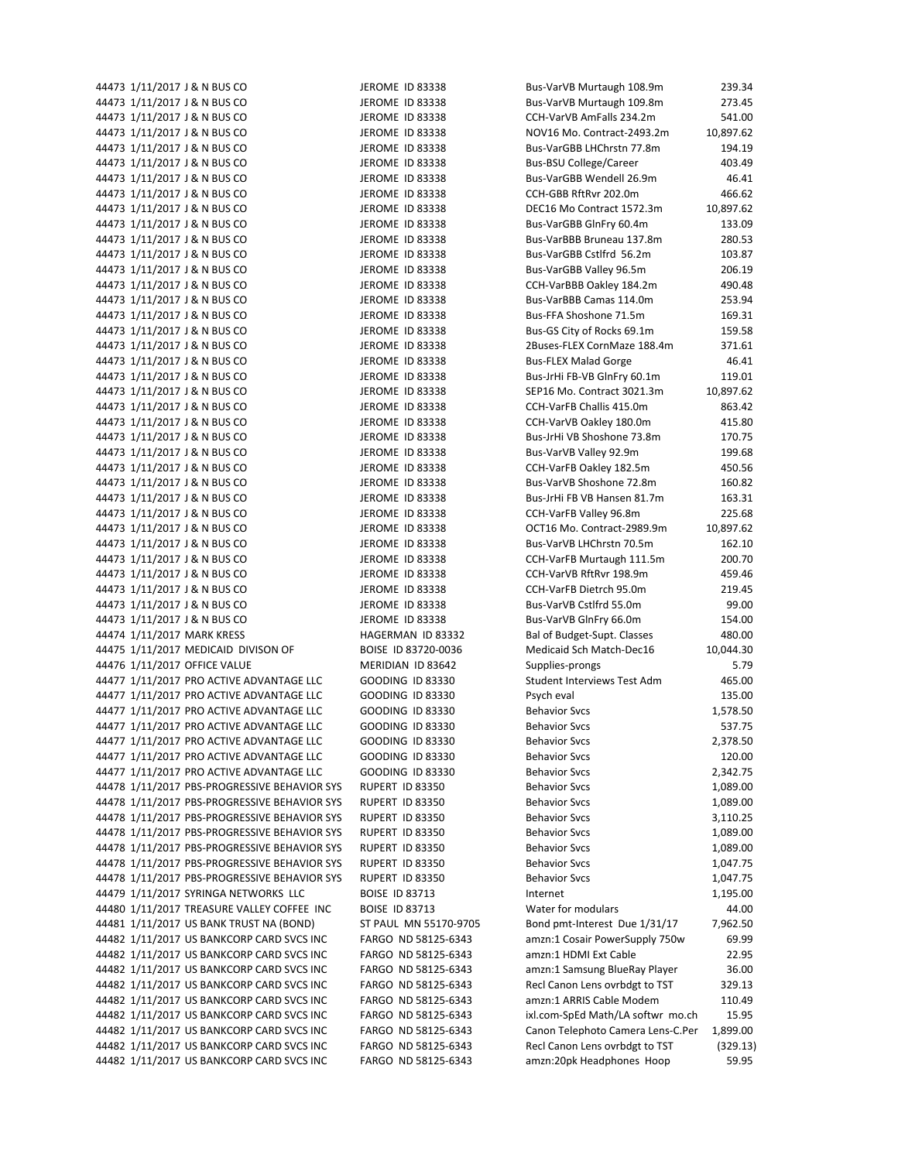| 44473 1/11/2017 J & N BUS CO                                                           | JEROME ID 83338                            | Bus-VarVB Murtaugh 108.9m                                   | 239.34            |
|----------------------------------------------------------------------------------------|--------------------------------------------|-------------------------------------------------------------|-------------------|
| 44473 1/11/2017 J & N BUS CO                                                           | JEROME ID 83338                            | Bus-VarVB Murtaugh 109.8m                                   | 273.45            |
| 44473 1/11/2017 J & N BUS CO                                                           | <b>JEROME ID 83338</b>                     | CCH-VarVB AmFalls 234.2m                                    | 541.00            |
| 44473 1/11/2017 J & N BUS CO                                                           | <b>JEROME ID 83338</b>                     | NOV16 Mo. Contract-2493.2m                                  | 10,897.62         |
| 44473 1/11/2017 J & N BUS CO                                                           | <b>JEROME ID 83338</b>                     | Bus-VarGBB LHChrstn 77.8m                                   | 194.19            |
| 44473 1/11/2017 J & N BUS CO                                                           | JEROME ID 83338                            | <b>Bus-BSU College/Career</b>                               | 403.49            |
| 44473 1/11/2017 J & N BUS CO                                                           | JEROME ID 83338                            | Bus-VarGBB Wendell 26.9m                                    | 46.41             |
| 44473 1/11/2017 J & N BUS CO                                                           | <b>JEROME ID 83338</b>                     | CCH-GBB RftRvr 202.0m                                       | 466.62            |
| 44473 1/11/2017 J & N BUS CO                                                           | <b>JEROME ID 83338</b>                     | DEC16 Mo Contract 1572.3m                                   | 10,897.62         |
| 44473 1/11/2017 J & N BUS CO                                                           | JEROME ID 83338                            | Bus-VarGBB GlnFry 60.4m                                     | 133.09            |
| 44473 1/11/2017 J & N BUS CO                                                           |                                            | Bus-VarBBB Bruneau 137.8m                                   |                   |
|                                                                                        | JEROME ID 83338                            |                                                             | 280.53            |
| 44473 1/11/2017 J & N BUS CO                                                           | JEROME ID 83338                            | Bus-VarGBB Cstlfrd 56.2m                                    | 103.87            |
| 44473 1/11/2017 J & N BUS CO                                                           | <b>JEROME ID 83338</b>                     | Bus-VarGBB Valley 96.5m                                     | 206.19            |
| 44473 1/11/2017 J & N BUS CO                                                           | JEROME ID 83338                            | CCH-VarBBB Oakley 184.2m                                    | 490.48            |
| 44473 1/11/2017 J & N BUS CO                                                           | <b>JEROME ID 83338</b>                     | Bus-VarBBB Camas 114.0m                                     | 253.94            |
| 44473 1/11/2017 J & N BUS CO                                                           | <b>JEROME ID 83338</b>                     | Bus-FFA Shoshone 71.5m                                      | 169.31            |
| 44473 1/11/2017 J & N BUS CO                                                           | JEROME ID 83338                            | Bus-GS City of Rocks 69.1m                                  | 159.58            |
| 44473 1/11/2017 J & N BUS CO                                                           | JEROME ID 83338                            | 2Buses-FLEX CornMaze 188.4m                                 | 371.61            |
| 44473 1/11/2017 J & N BUS CO                                                           | JEROME ID 83338                            | <b>Bus-FLEX Malad Gorge</b>                                 | 46.41             |
| 44473 1/11/2017 J & N BUS CO                                                           | JEROME ID 83338                            | Bus-JrHi FB-VB GlnFry 60.1m                                 | 119.01            |
| 44473 1/11/2017 J & N BUS CO                                                           | JEROME ID 83338                            | SEP16 Mo. Contract 3021.3m                                  | 10,897.62         |
| 44473 1/11/2017 J & N BUS CO                                                           | <b>JEROME ID 83338</b>                     | CCH-VarFB Challis 415.0m                                    | 863.42            |
| 44473 1/11/2017 J & N BUS CO                                                           | <b>JEROME ID 83338</b>                     | CCH-VarVB Oakley 180.0m                                     | 415.80            |
| 44473 1/11/2017 J & N BUS CO                                                           | JEROME ID 83338                            | Bus-JrHi VB Shoshone 73.8m                                  | 170.75            |
| 44473 1/11/2017 J & N BUS CO                                                           | JEROME ID 83338                            | Bus-VarVB Valley 92.9m                                      | 199.68            |
|                                                                                        |                                            |                                                             |                   |
| 44473 1/11/2017 J & N BUS CO                                                           | <b>JEROME ID 83338</b>                     | CCH-VarFB Oakley 182.5m                                     | 450.56            |
| 44473 1/11/2017 J & N BUS CO                                                           | <b>JEROME ID 83338</b>                     | Bus-VarVB Shoshone 72.8m                                    | 160.82            |
| 44473 1/11/2017 J & N BUS CO                                                           | JEROME ID 83338                            | Bus-JrHi FB VB Hansen 81.7m                                 | 163.31            |
| 44473 1/11/2017 J & N BUS CO                                                           | JEROME ID 83338                            | CCH-VarFB Valley 96.8m                                      | 225.68            |
| 44473 1/11/2017 J & N BUS CO                                                           | JEROME ID 83338                            | OCT16 Mo. Contract-2989.9m                                  | 10,897.62         |
| 44473 1/11/2017 J & N BUS CO                                                           | JEROME ID 83338                            | Bus-VarVB LHChrstn 70.5m                                    | 162.10            |
| 44473 1/11/2017 J & N BUS CO                                                           | JEROME ID 83338                            | CCH-VarFB Murtaugh 111.5m                                   | 200.70            |
| 44473 1/11/2017 J & N BUS CO                                                           | JEROME ID 83338                            | CCH-VarVB RftRvr 198.9m                                     | 459.46            |
| 44473 1/11/2017 J & N BUS CO                                                           | JEROME ID 83338                            | CCH-VarFB Dietrch 95.0m                                     | 219.45            |
| 44473 1/11/2017 J & N BUS CO                                                           | JEROME ID 83338                            | Bus-VarVB Cstlfrd 55.0m                                     | 99.00             |
| 44473 1/11/2017 J & N BUS CO                                                           | JEROME ID 83338                            | Bus-VarVB GlnFry 66.0m                                      | 154.00            |
| 44474 1/11/2017 MARK KRESS                                                             | HAGERMAN ID 83332                          | Bal of Budget-Supt. Classes                                 | 480.00            |
| 44475 1/11/2017 MEDICAID DIVISON OF                                                    | BOISE ID 83720-0036                        | Medicaid Sch Match-Dec16                                    | 10,044.30         |
| 44476 1/11/2017 OFFICE VALUE                                                           | MERIDIAN ID 83642                          | Supplies-prongs                                             | 5.79              |
| 44477 1/11/2017 PRO ACTIVE ADVANTAGE LLC                                               | <b>GOODING ID 83330</b>                    | Student Interviews Test Adm                                 | 465.00            |
| 44477 1/11/2017 PRO ACTIVE ADVANTAGE LLC                                               | <b>GOODING ID 83330</b>                    | Psych eval                                                  | 135.00            |
| 44477 1/11/2017 PRO ACTIVE ADVANTAGE LLC                                               | <b>GOODING ID 83330</b>                    | <b>Behavior Svcs</b>                                        | 1,578.50          |
|                                                                                        |                                            |                                                             |                   |
| 44477 1/11/2017 PRO ACTIVE ADVANTAGE LLC                                               | GOODING ID 83330                           | <b>Behavior Svcs</b>                                        | 537.75            |
| 44477 1/11/2017 PRO ACTIVE ADVANTAGE LLC                                               | GOODING ID 83330                           | <b>Behavior Svcs</b>                                        | 2,378.50          |
| 44477 1/11/2017 PRO ACTIVE ADVANTAGE LLC                                               | <b>GOODING ID 83330</b>                    | <b>Behavior Svcs</b>                                        | 120.00            |
| 44477 1/11/2017 PRO ACTIVE ADVANTAGE LLC                                               | <b>GOODING ID 83330</b>                    | <b>Behavior Svcs</b>                                        | 2,342.75          |
| 44478 1/11/2017 PBS-PROGRESSIVE BEHAVIOR SYS                                           | RUPERT ID 83350                            | <b>Behavior Svcs</b>                                        | 1,089.00          |
| 44478 1/11/2017 PBS-PROGRESSIVE BEHAVIOR SYS                                           | RUPERT ID 83350                            | <b>Behavior Svcs</b>                                        | 1,089.00          |
| 44478 1/11/2017 PBS-PROGRESSIVE BEHAVIOR SYS                                           | RUPERT ID 83350                            | <b>Behavior Svcs</b>                                        | 3,110.25          |
| 44478 1/11/2017 PBS-PROGRESSIVE BEHAVIOR SYS                                           | RUPERT ID 83350                            | <b>Behavior Svcs</b>                                        | 1,089.00          |
| 44478 1/11/2017 PBS-PROGRESSIVE BEHAVIOR SYS                                           | RUPERT ID 83350                            | <b>Behavior Svcs</b>                                        | 1,089.00          |
| 44478 1/11/2017 PBS-PROGRESSIVE BEHAVIOR SYS                                           | RUPERT ID 83350                            | <b>Behavior Svcs</b>                                        | 1,047.75          |
| 44478 1/11/2017 PBS-PROGRESSIVE BEHAVIOR SYS                                           | RUPERT ID 83350                            | <b>Behavior Svcs</b>                                        | 1,047.75          |
| 44479 1/11/2017 SYRINGA NETWORKS LLC                                                   | <b>BOISE ID 83713</b>                      | Internet                                                    | 1,195.00          |
| 44480 1/11/2017 TREASURE VALLEY COFFEE INC                                             |                                            | Water for modulars                                          | 44.00             |
|                                                                                        |                                            |                                                             |                   |
|                                                                                        | <b>BOISE ID 83713</b>                      |                                                             |                   |
| 44481 1/11/2017 US BANK TRUST NA (BOND)                                                | ST PAUL MN 55170-9705                      | Bond pmt-Interest Due 1/31/17                               | 7,962.50          |
| 44482 1/11/2017 US BANKCORP CARD SVCS INC                                              | FARGO ND 58125-6343                        | amzn:1 Cosair PowerSupply 750w                              | 69.99             |
| 44482 1/11/2017 US BANKCORP CARD SVCS INC                                              | FARGO ND 58125-6343                        | amzn:1 HDMI Ext Cable                                       | 22.95             |
| 44482 1/11/2017 US BANKCORP CARD SVCS INC                                              | FARGO ND 58125-6343                        | amzn:1 Samsung BlueRay Player                               | 36.00             |
| 44482 1/11/2017 US BANKCORP CARD SVCS INC                                              | FARGO ND 58125-6343                        | Recl Canon Lens ovrbdgt to TST                              | 329.13            |
| 44482 1/11/2017 US BANKCORP CARD SVCS INC                                              | FARGO ND 58125-6343                        | amzn:1 ARRIS Cable Modem                                    | 110.49            |
| 44482 1/11/2017 US BANKCORP CARD SVCS INC                                              | FARGO ND 58125-6343                        | ixl.com-SpEd Math/LA softwr mo.ch                           | 15.95             |
| 44482 1/11/2017 US BANKCORP CARD SVCS INC                                              | FARGO ND 58125-6343                        | Canon Telephoto Camera Lens-C.Per                           | 1,899.00          |
| 44482 1/11/2017 US BANKCORP CARD SVCS INC<br>44482 1/11/2017 US BANKCORP CARD SVCS INC | FARGO ND 58125-6343<br>FARGO ND 58125-6343 | Recl Canon Lens ovrbdgt to TST<br>amzn:20pk Headphones Hoop | (329.13)<br>59.95 |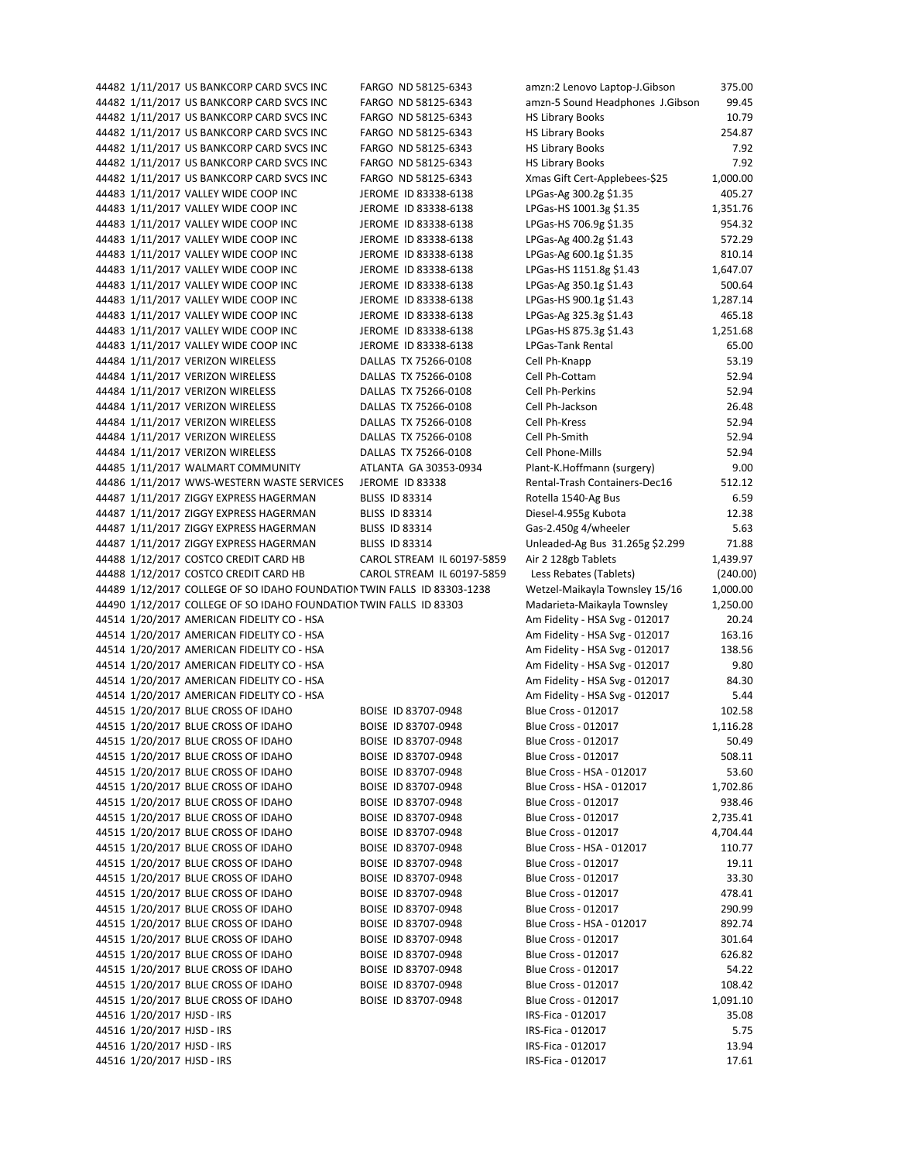44482 1/11/2017 US BANKCORP CARD SVCS INC FARGO ND 58125‐6343 amzn:2 Lenovo Laptop‐J.Gibson 375.00 44482 1/11/2017 US BANKCORP CARD SVCS INC FARGO ND 58125‐6343 amzn‐5 Sound Headphones J.Gibson 99.45 44482 1/11/2017 US BANKCORP CARD SVCS INC FARGO ND 58125‐6343 HS Library Books 10.79 44482 1/11/2017 US BANKCORP CARD SVCS INC FARGO ND 58125‐6343 HS Library Books 254.87 44482 1/11/2017 US BANKCORP CARD SVCS INC FARGO ND 58125‐6343 HS Library Books 7.92 44482 1/11/2017 US BANKCORP CARD SVCS INC FARGO ND 58125‐6343 HS Library Books 7.92 44482 1/11/2017 US BANKCORP CARD SVCS INC FARGO ND 58125‐6343 Xmas Gift Cert‐Applebees‐\$25 1,000.00 44483 1/11/2017 VALLEY WIDE COOP INC JEROME ID 83338-6138 LPGas-Ag 300.2g \$1.35 405.27 44483 1/11/2017 VALLEY WIDE COOP INC JEROME ID 83338-6138 LPGas-HS 1001.3g \$1.35 1,351.76 44483 1/11/2017 VALLEY WIDE COOP INC JEROME ID 83338-6138 LPGas-HS 706.9g \$1.35 954.32 44483 1/11/2017 VALLEY WIDE COOP INC JEROME ID 83338-6138 LPGas-Ag 400.2g \$1.43 572.29 44483 1/11/2017 VALLEY WIDE COOP INC JEROME ID 83338-6138 LPGas-Ag 600.1g \$1.35 810.14 44483 1/11/2017 VALLEY WIDE COOP INC JEROME ID 83338-6138 LPGas-HS 1151.8g \$1.43 1,647.07 44483 1/11/2017 VALLEY WIDE COOP INC JEROME ID 83338-6138 LPGas-Ag 350.1g \$1.43 500.64 44483 1/11/2017 VALLEY WIDE COOP INC JEROME ID 83338-6138 LPGas-HS 900.1g \$1.43 1,287.14 44483 1/11/2017 VALLEY WIDE COOP INC JEROME ID 83338-6138 LPGas-Ag 325.3g \$1.43 465.18 44483 1/11/2017 VALLEY WIDE COOP INC JEROME ID 83338-6138 LPGas-HS 875.3g \$1.43 1,251.68 44483 1/11/2017 VALLEY WIDE COOP INC JEROME ID 83338‐6138 LPGas‐Tank Rental 65.00 44484 1/11/2017 VERIZON WIRELESS DALLAS TX 75266‐0108 Cell Ph‐Knapp 53.19 44484 1/11/2017 VERIZON WIRELESS DALLAS TX 75266‐0108 Cell Ph‐Cottam 52.94 44484 1/11/2017 VERIZON WIRELESS DALLAS TX 75266-0108 Cell Ph-Perkins 52.94 44484 1/11/2017 VERIZON WIRELESS DALLAS TX 75266-0108 Cell Ph-Jackson 26.48 44484 1/11/2017 VERIZON WIRELESS DALLAS TX 75266-0108 Cell Ph-Kress 52.94 44484 1/11/2017 VERIZON WIRELESS DALLAS TX 75266‐0108 Cell Ph‐Smith 52.94 44484 1/11/2017 VERIZON WIRELESS DALLAS TX 75266‐0108 Cell Phone‐Mills 52.94 44485 1/11/2017 WALMART COMMUNITY ATLANTA GA 30353‐0934 Plant‐K.Hoffmann (surgery) 9.00 44486 1/11/2017 WWS-WESTERN WASTE SERVICES JEROME ID 83338 Rental-Trash Containers-Dec16 512.12 44487 1/11/2017 ZIGGY EXPRESS HAGERMAN BLISS ID 83314 Rotella 1540-Ag Bus 6.59 44487 1/11/2017 ZIGGY EXPRESS HAGERMAN BLISS ID 83314 Diesel‐4.955g Kubota 12.38 44487 1/11/2017 ZIGGY EXPRESS HAGERMAN BLISS ID 83314 Gas‐2.450g 4/wheeler 5.63 44487 1/11/2017 ZIGGY EXPRESS HAGERMAN BLISS ID 83314 Unleaded‐Ag Bus 31.265g \$2.299 71.88 44488 1/12/2017 COSTCO CREDIT CARD HB CAROL STREAM IL 60197‐5859 Air 2 128gb Tablets 1,439.97 44488 1/12/2017 COSTCO CREDIT CARD HB CAROL STREAM IL 60197‐5859 Less Rebates (Tablets) (240.00) 44489 1/12/2017 COLLEGE OF SO IDAHO FOUNDATIONTWIN FALLS ID 83303‐1238 Wetzel‐Maikayla Townsley 15/16 1,000.00 44490 1/12/2017 COLLEGE OF SO IDAHO FOUNDATIONTWIN FALLS ID 83303 Madarieta‐Maikayla Townsley 1,250.00 44514 1/20/2017 AMERICAN FIDELITY CO ‐ HSA Am Fidelity ‐ HSA Svg ‐ 012017 20.24 44514 1/20/2017 AMERICAN FIDELITY CO ‐ HSA Am Fidelity ‐ HSA Svg ‐ 012017 163.16 44514 1/20/2017 AMERICAN FIDELITY CO ‐ HSA Am Fidelity ‐ HSA Svg ‐ 012017 138.56 44514 1/20/2017 AMERICAN FIDELITY CO ‐ HSA Am Fidelity ‐ HSA Svg ‐ 012017 9.80 44514 1/20/2017 AMERICAN FIDELITY CO ‐ HSA Am Fidelity ‐ HSA Svg ‐ 012017 84.30 44514 1/20/2017 AMERICAN FIDELITY CO ‐ HSA Am Fidelity ‐ HSA Svg ‐ 012017 5.44 44515 1/20/2017 BLUE CROSS OF IDAHO BOISE ID 83707‐0948 Blue Cross ‐ 012017 102.58 44515 1/20/2017 BLUE CROSS OF IDAHO BOISE ID 83707-0948 Blue Cross - 012017 1,116.28 44515 1/20/2017 BLUE CROSS OF IDAHO BOISE ID 83707‐0948 Blue Cross ‐ 012017 50.49 44515 1/20/2017 BLUE CROSS OF IDAHO BOISE ID 83707‐0948 Blue Cross ‐ 012017 508.11 44515 1/20/2017 BLUE CROSS OF IDAHO BOISE ID 83707‐0948 Blue Cross ‐ HSA ‐ 012017 53.60 44515 1/20/2017 BLUE CROSS OF IDAHO BOISE ID 83707‐0948 Blue Cross ‐ HSA ‐ 012017 1,702.86 44515 1/20/2017 BLUE CROSS OF IDAHO BOISE ID 83707‐0948 Blue Cross ‐ 012017 938.46 44515 1/20/2017 BLUE CROSS OF IDAHO BOISE ID 83707‐0948 Blue Cross ‐ 012017 2,735.41 44515 1/20/2017 BLUE CROSS OF IDAHO BOISE ID 83707‐0948 Blue Cross ‐ 012017 4,704.44 44515 1/20/2017 BLUE CROSS OF IDAHO BOISE ID 83707‐0948 Blue Cross ‐ HSA ‐ 012017 110.77 44515 1/20/2017 BLUE CROSS OF IDAHO BOISE ID 83707‐0948 Blue Cross ‐ 012017 19.11 44515 1/20/2017 BLUE CROSS OF IDAHO BOISE ID 83707‐0948 Blue Cross ‐ 012017 33.30 44515 1/20/2017 BLUE CROSS OF IDAHO BOISE ID 83707‐0948 Blue Cross ‐ 012017 478.41 44515 1/20/2017 BLUE CROSS OF IDAHO BOISE ID 83707‐0948 Blue Cross ‐ 012017 290.99 44515 1/20/2017 BLUE CROSS OF IDAHO BOISE ID 83707-0948 Blue Cross - HSA - 012017 892.74 44515 1/20/2017 BLUE CROSS OF IDAHO BOISE ID 83707-0948 Blue Cross - 012017 301.64 44515 1/20/2017 BLUE CROSS OF IDAHO BOISE ID 83707-0948 Blue Cross - 012017 626.82 44515 1/20/2017 BLUE CROSS OF IDAHO BOISE ID 83707-0948 Blue Cross - 012017 54.22 44515 1/20/2017 BLUE CROSS OF IDAHO BOISE ID 83707‐0948 Blue Cross ‐ 012017 108.42 44515 1/20/2017 BLUE CROSS OF IDAHO BOISE ID 83707‐0948 Blue Cross ‐ 012017 1,091.10 44516 1/20/2017 HJSD ‐ IRS IRS‐Fica ‐ 012017 35.08 44516 1/20/2017 HJSD ‐ IRS IRS‐Fica ‐ 012017 5.75 44516 1/20/2017 HJSD ‐ IRS IRS‐Fica ‐ 012017 13.94 44516 1/20/2017 HJSD ‐ IRS IRS‐Fica ‐ 012017 17.61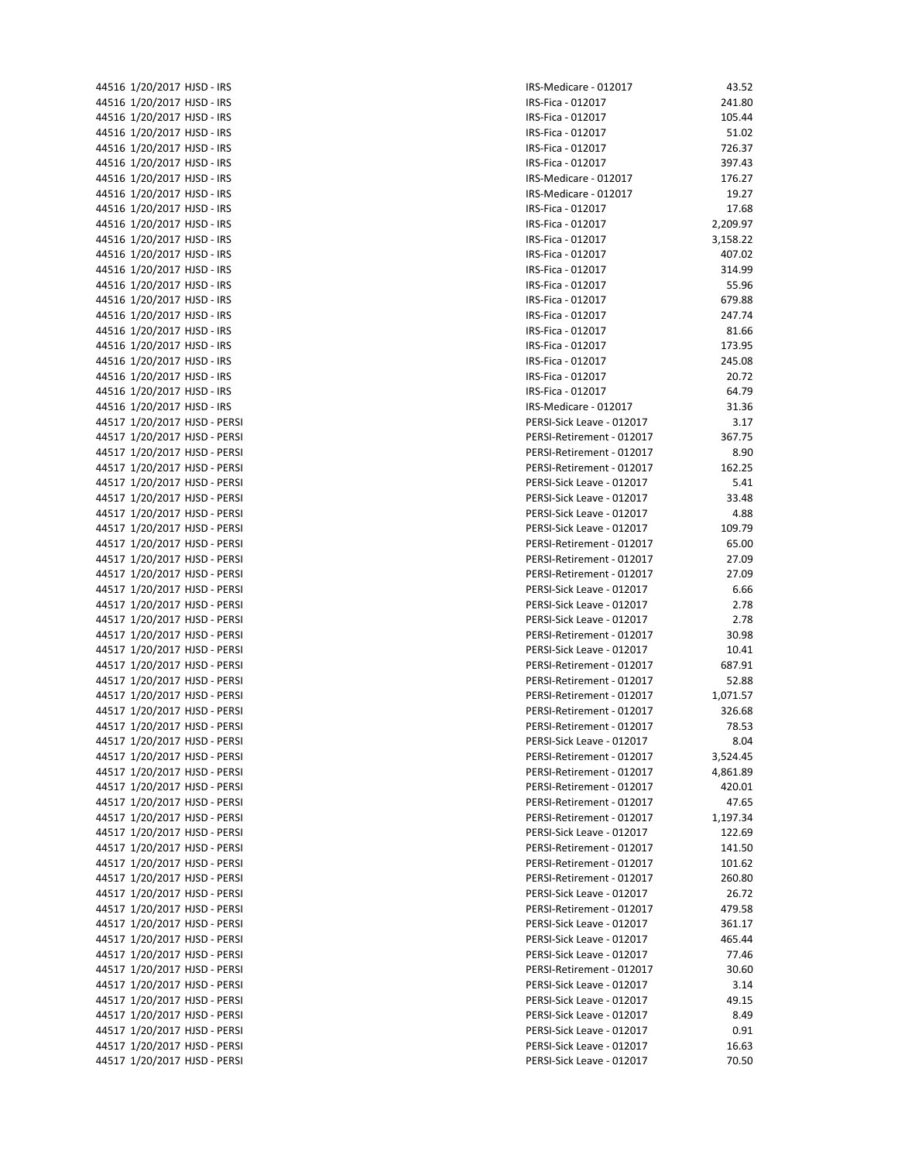| 44516 | 1/20/2017 HJSD - IRS |                              |
|-------|----------------------|------------------------------|
| 44516 | 1/20/2017 HJSD - IRS |                              |
| 44516 | 1/20/2017 HJSD - IRS |                              |
| 44516 | 1/20/2017 HJSD - IRS |                              |
| 44516 | 1/20/2017 HJSD - IRS |                              |
|       |                      |                              |
| 44516 | 1/20/2017 HJSD - IRS |                              |
| 44516 | 1/20/2017 HJSD - IRS |                              |
| 44516 | 1/20/2017 HJSD - IRS |                              |
| 44516 | 1/20/2017 HJSD - IRS |                              |
| 44516 | 1/20/2017 HJSD - IRS |                              |
| 44516 | 1/20/2017 HJSD - IRS |                              |
| 44516 | 1/20/2017 HJSD - IRS |                              |
| 44516 | 1/20/2017 HJSD - IRS |                              |
|       |                      |                              |
| 44516 | 1/20/2017 HJSD - IRS |                              |
| 44516 | 1/20/2017 HJSD - IRS |                              |
| 44516 | 1/20/2017 HJSD - IRS |                              |
| 44516 | 1/20/2017 HJSD - IRS |                              |
| 44516 | 1/20/2017 HJSD - IRS |                              |
| 44516 | 1/20/2017 HJSD - IRS |                              |
| 44516 | 1/20/2017 HJSD - IRS |                              |
|       |                      |                              |
| 44516 | 1/20/2017 HJSD - IRS |                              |
| 44516 | 1/20/2017 HJSD - IRS |                              |
| 44517 |                      | 1/20/2017 HJSD - PERSI       |
| 44517 |                      | 1/20/2017 HJSD - PERSI       |
| 44517 |                      | 1/20/2017 HJSD - PERSI       |
| 44517 |                      | 1/20/2017 HJSD - PERSI       |
| 44517 |                      | 1/20/2017 HJSD - PERSI       |
| 44517 |                      | 1/20/2017 HJSD - PERSI       |
| 44517 |                      | 1/20/2017 HJSD - PERSI       |
| 44517 |                      | 1/20/2017 HJSD - PERSI       |
|       |                      |                              |
| 44517 |                      | 1/20/2017 HJSD - PERSI       |
| 44517 |                      | 1/20/2017 HJSD - PERSI       |
| 44517 |                      | 1/20/2017 HJSD - PERSI       |
| 44517 |                      | 1/20/2017 HJSD - PERSI       |
| 44517 |                      | 1/20/2017 HJSD - PERSI       |
| 44517 |                      | 1/20/2017 HJSD - PERSI       |
| 44517 |                      | 1/20/2017 HJSD - PERSI       |
| 44517 |                      | 1/20/2017 HJSD - PERSI       |
| 44517 |                      | 1/20/2017 HJSD - PERSI       |
| 44517 |                      | 1/20/2017 HJSD - PERSI       |
| 44517 |                      | 1/20/2017 HJSD - PERSI       |
|       |                      | 44517 1/20/2017 HJSD - PERSI |
|       |                      |                              |
| 44517 |                      | 1/20/2017 HJSD - PERSI       |
|       |                      | 44517 1/20/2017 HJSD - PERSI |
| 44517 | 1/20/2017            | HJSD - PERSI                 |
| 44517 |                      | 1/20/2017 HJSD - PERSI       |
| 44517 |                      | 1/20/2017 HJSD - PERSI       |
| 44517 | 1/20/2017            | HJSD - PERSI                 |
| 44517 | 1/20/2017            | HJSD - PERSI                 |
| 44517 |                      | 1/20/2017 HJSD - PERSI       |
| 44517 | 1/20/2017            | HJSD - PERSI                 |
| 44517 | 1/20/2017            | HJSD - PERSI                 |
|       |                      |                              |
| 44517 | 1/20/2017            | HJSD - PERSI                 |
| 44517 | 1/20/2017            | HJSD - PERSI                 |
| 44517 | 1/20/2017            | HJSD - PERSI                 |
| 44517 | 1/20/2017            | HJSD - PERSI                 |
| 44517 | 1/20/2017            | HJSD - PERSI                 |
| 44517 | 1/20/2017            | HJSD - PERSI                 |
| 44517 | 1/20/2017            | HJSD - PERSI                 |
| 44517 | 1/20/2017            | HJSD - PERSI                 |
| 44517 |                      | 1/20/2017 HJSD - PERSI       |
| 44517 | 1/20/2017            | HJSD - PERSI                 |
| 44517 | 1/20/2017            | HJSD - PERSI                 |
| 44517 |                      | HJSD - PERSI                 |
|       | 1/20/2017            |                              |
| 44517 | 1/20/2017            | HJSD - PERSI                 |

| 44516 1/20/2017 HJSD - IRS   | IRS-Medicare - 012017     | 43.52        |
|------------------------------|---------------------------|--------------|
| 44516 1/20/2017 HJSD - IRS   | IRS-Fica - 012017         | 241.80       |
| 44516 1/20/2017 HJSD - IRS   | IRS-Fica - 012017         | 105.44       |
| 44516 1/20/2017 HJSD - IRS   | IRS-Fica - 012017         | 51.02        |
| 44516 1/20/2017 HJSD - IRS   | IRS-Fica - 012017         | 726.37       |
| 44516 1/20/2017 HJSD - IRS   | IRS-Fica - 012017         | 397.43       |
| 44516 1/20/2017 HJSD - IRS   | IRS-Medicare - 012017     | 176.27       |
| 44516 1/20/2017 HJSD - IRS   | IRS-Medicare - 012017     | 19.27        |
| 44516 1/20/2017 HJSD - IRS   | IRS-Fica - 012017         | 17.68        |
| 44516 1/20/2017 HJSD - IRS   | IRS-Fica - 012017         | 2,209.97     |
| 44516 1/20/2017 HJSD - IRS   | IRS-Fica - 012017         | 3,158.22     |
| 44516 1/20/2017 HJSD - IRS   | IRS-Fica - 012017         | 407.02       |
| 44516 1/20/2017 HJSD - IRS   | IRS-Fica - 012017         | 314.99       |
| 44516 1/20/2017 HJSD - IRS   | IRS-Fica - 012017         | 55.96        |
| 44516 1/20/2017 HJSD - IRS   | IRS-Fica - 012017         | 679.88       |
| 44516 1/20/2017 HJSD - IRS   | IRS-Fica - 012017         | 247.74       |
| 44516 1/20/2017 HJSD - IRS   | IRS-Fica - 012017         | 81.66        |
| 44516 1/20/2017 HJSD - IRS   | IRS-Fica - 012017         | 173.95       |
| 44516 1/20/2017 HJSD - IRS   | IRS-Fica - 012017         | 245.08       |
| 44516 1/20/2017 HJSD - IRS   | IRS-Fica - 012017         | 20.72        |
| 44516 1/20/2017 HJSD - IRS   | IRS-Fica - 012017         | 64.79        |
| 44516 1/20/2017 HJSD - IRS   | IRS-Medicare - 012017     | 31.36        |
| 44517 1/20/2017 HJSD - PERSI | PERSI-Sick Leave - 012017 | 3.17         |
| 44517 1/20/2017 HJSD - PERSI | PERSI-Retirement - 012017 | 367.75       |
| 44517 1/20/2017 HJSD - PERSI | PERSI-Retirement - 012017 | 8.90         |
| 44517 1/20/2017 HJSD - PERSI | PERSI-Retirement - 012017 | 162.25       |
| 44517 1/20/2017 HJSD - PERSI | PERSI-Sick Leave - 012017 | 5.41         |
| 44517 1/20/2017 HJSD - PERSI | PERSI-Sick Leave - 012017 | 33.48        |
| 44517 1/20/2017 HJSD - PERSI | PERSI-Sick Leave - 012017 | 4.88         |
| 44517 1/20/2017 HJSD - PERSI | PERSI-Sick Leave - 012017 | 109.79       |
| 44517 1/20/2017 HJSD - PERSI | PERSI-Retirement - 012017 | 65.00        |
| 44517 1/20/2017 HJSD - PERSI | PERSI-Retirement - 012017 | 27.09        |
| 44517 1/20/2017 HJSD - PERSI | PERSI-Retirement - 012017 | 27.09        |
|                              |                           |              |
| 44517 1/20/2017 HJSD - PERSI | PERSI-Sick Leave - 012017 | 6.66<br>2.78 |
| 44517 1/20/2017 HJSD - PERSI | PERSI-Sick Leave - 012017 |              |
| 44517 1/20/2017 HJSD - PERSI | PERSI-Sick Leave - 012017 | 2.78         |
| 44517 1/20/2017 HJSD - PERSI | PERSI-Retirement - 012017 | 30.98        |
| 44517 1/20/2017 HJSD - PERSI | PERSI-Sick Leave - 012017 | 10.41        |
| 44517 1/20/2017 HJSD - PERSI | PERSI-Retirement - 012017 | 687.91       |
| 44517 1/20/2017 HJSD - PERSI | PERSI-Retirement - 012017 | 52.88        |
| 44517 1/20/2017 HJSD - PERSI | PERSI-Retirement - 012017 | 1,071.57     |
| 44517 1/20/2017 HJSD - PERSI | PERSI-Retirement - 012017 | 326.68       |
| 44517 1/20/2017 HJSD - PERSI | PERSI-Retirement - 012017 | 78.53        |
| 44517 1/20/2017 HJSD - PERSI | PERSI-Sick Leave - 012017 | 8.04         |
| 44517 1/20/2017 HJSD - PERSI | PERSI-Retirement - 012017 | 3,524.45     |
| 44517 1/20/2017 HJSD - PERSI | PERSI-Retirement - 012017 | 4,861.89     |
| 44517 1/20/2017 HJSD - PERSI | PERSI-Retirement - 012017 | 420.01       |
| 44517 1/20/2017 HJSD - PERSI | PERSI-Retirement - 012017 | 47.65        |
| 44517 1/20/2017 HJSD - PERSI | PERSI-Retirement - 012017 | 1,197.34     |
| 44517 1/20/2017 HJSD - PERSI | PERSI-Sick Leave - 012017 | 122.69       |
| 44517 1/20/2017 HJSD - PERSI | PERSI-Retirement - 012017 | 141.50       |
| 44517 1/20/2017 HJSD - PERSI | PERSI-Retirement - 012017 | 101.62       |
| 44517 1/20/2017 HJSD - PERSI | PERSI-Retirement - 012017 | 260.80       |
| 44517 1/20/2017 HJSD - PERSI | PERSI-Sick Leave - 012017 | 26.72        |
| 44517 1/20/2017 HJSD - PERSI | PERSI-Retirement - 012017 | 479.58       |
| 44517 1/20/2017 HJSD - PERSI | PERSI-Sick Leave - 012017 | 361.17       |
| 44517 1/20/2017 HJSD - PERSI | PERSI-Sick Leave - 012017 | 465.44       |
| 44517 1/20/2017 HJSD - PERSI | PERSI-Sick Leave - 012017 | 77.46        |
| 44517 1/20/2017 HJSD - PERSI | PERSI-Retirement - 012017 | 30.60        |
| 44517 1/20/2017 HJSD - PERSI | PERSI-Sick Leave - 012017 | 3.14         |
| 44517 1/20/2017 HJSD - PERSI | PERSI-Sick Leave - 012017 | 49.15        |
| 44517 1/20/2017 HJSD - PERSI | PERSI-Sick Leave - 012017 | 8.49         |
| 44517 1/20/2017 HJSD - PERSI | PERSI-Sick Leave - 012017 | 0.91         |
| 44517 1/20/2017 HJSD - PERSI | PERSI-Sick Leave - 012017 | 16.63        |
| 44517 1/20/2017 HJSD - PERSI | PERSI-Sick Leave - 012017 | 70.50        |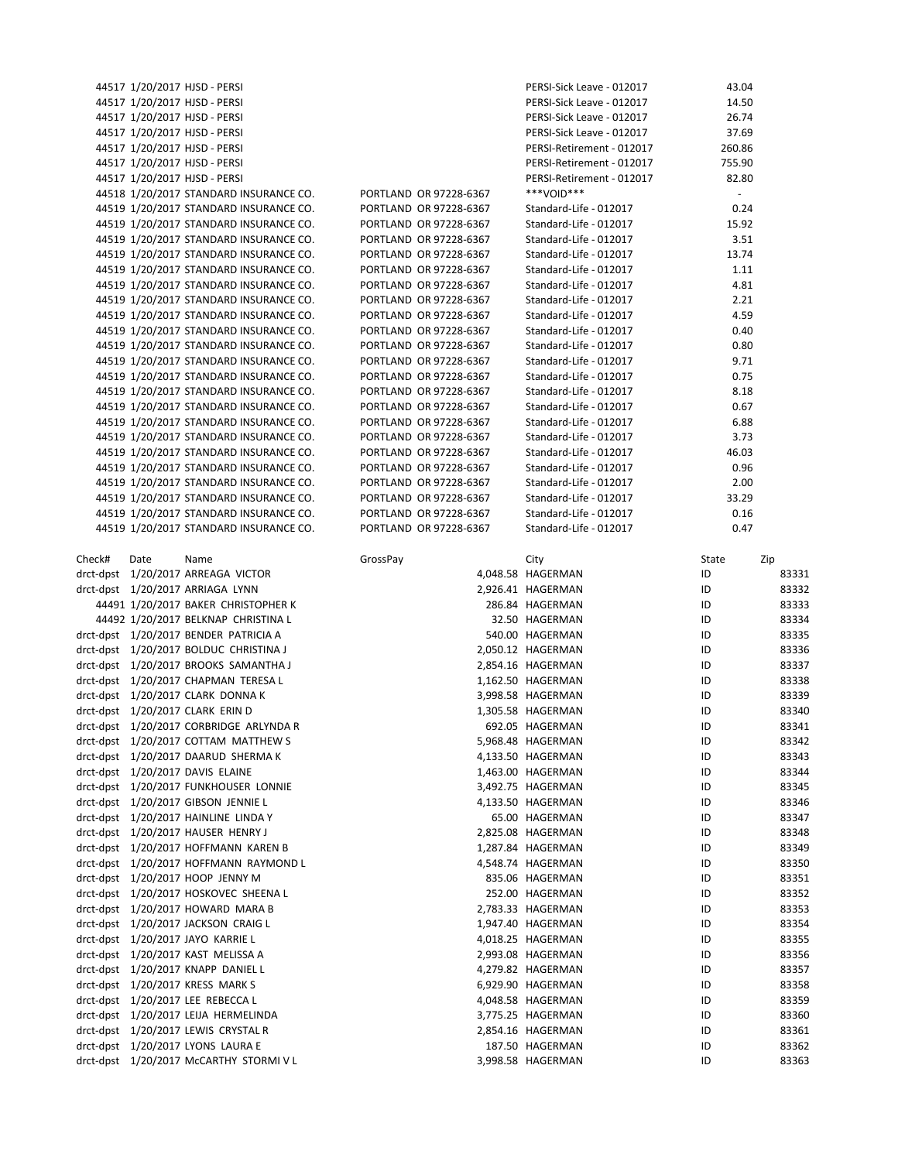|        |      | 44517 1/20/2017 HJSD - PERSI            |          |                        | PERSI-Sick Leave - 012017 | 43.04  |       |
|--------|------|-----------------------------------------|----------|------------------------|---------------------------|--------|-------|
|        |      | 44517 1/20/2017 HJSD - PERSI            |          |                        | PERSI-Sick Leave - 012017 | 14.50  |       |
|        |      | 44517 1/20/2017 HJSD - PERSI            |          |                        | PERSI-Sick Leave - 012017 | 26.74  |       |
|        |      | 44517 1/20/2017 HJSD - PERSI            |          |                        | PERSI-Sick Leave - 012017 | 37.69  |       |
|        |      | 44517 1/20/2017 HJSD - PERSI            |          |                        | PERSI-Retirement - 012017 | 260.86 |       |
|        |      | 44517 1/20/2017 HJSD - PERSI            |          |                        | PERSI-Retirement - 012017 | 755.90 |       |
|        |      | 44517 1/20/2017 HJSD - PERSI            |          |                        | PERSI-Retirement - 012017 | 82.80  |       |
|        |      | 44518 1/20/2017 STANDARD INSURANCE CO.  |          | PORTLAND OR 97228-6367 | ***VOID***                | $\sim$ |       |
|        |      | 44519 1/20/2017 STANDARD INSURANCE CO.  |          | PORTLAND OR 97228-6367 | Standard-Life - 012017    | 0.24   |       |
|        |      | 44519 1/20/2017 STANDARD INSURANCE CO.  |          | PORTLAND OR 97228-6367 | Standard-Life - 012017    | 15.92  |       |
|        |      | 44519 1/20/2017 STANDARD INSURANCE CO.  |          | PORTLAND OR 97228-6367 | Standard-Life - 012017    | 3.51   |       |
|        |      | 44519 1/20/2017 STANDARD INSURANCE CO.  |          | PORTLAND OR 97228-6367 | Standard-Life - 012017    | 13.74  |       |
|        |      | 44519 1/20/2017 STANDARD INSURANCE CO.  |          | PORTLAND OR 97228-6367 | Standard-Life - 012017    | 1.11   |       |
|        |      | 44519 1/20/2017 STANDARD INSURANCE CO.  |          | PORTLAND OR 97228-6367 | Standard-Life - 012017    | 4.81   |       |
|        |      | 44519 1/20/2017 STANDARD INSURANCE CO.  |          | PORTLAND OR 97228-6367 | Standard-Life - 012017    | 2.21   |       |
|        |      | 44519 1/20/2017 STANDARD INSURANCE CO.  |          | PORTLAND OR 97228-6367 | Standard-Life - 012017    | 4.59   |       |
|        |      | 44519 1/20/2017 STANDARD INSURANCE CO.  |          | PORTLAND OR 97228-6367 | Standard-Life - 012017    | 0.40   |       |
|        |      | 44519 1/20/2017 STANDARD INSURANCE CO.  |          | PORTLAND OR 97228-6367 | Standard-Life - 012017    | 0.80   |       |
|        |      | 44519 1/20/2017 STANDARD INSURANCE CO.  |          | PORTLAND OR 97228-6367 | Standard-Life - 012017    | 9.71   |       |
|        |      | 44519 1/20/2017 STANDARD INSURANCE CO.  |          | PORTLAND OR 97228-6367 | Standard-Life - 012017    | 0.75   |       |
|        |      | 44519 1/20/2017 STANDARD INSURANCE CO.  |          | PORTLAND OR 97228-6367 | Standard-Life - 012017    | 8.18   |       |
|        |      | 44519 1/20/2017 STANDARD INSURANCE CO.  |          | PORTLAND OR 97228-6367 | Standard-Life - 012017    | 0.67   |       |
|        |      | 44519 1/20/2017 STANDARD INSURANCE CO.  |          | PORTLAND OR 97228-6367 | Standard-Life - 012017    | 6.88   |       |
|        |      | 44519 1/20/2017 STANDARD INSURANCE CO.  |          |                        |                           |        |       |
|        |      |                                         |          | PORTLAND OR 97228-6367 | Standard-Life - 012017    | 3.73   |       |
|        |      | 44519 1/20/2017 STANDARD INSURANCE CO.  |          | PORTLAND OR 97228-6367 | Standard-Life - 012017    | 46.03  |       |
|        |      | 44519 1/20/2017 STANDARD INSURANCE CO.  |          | PORTLAND OR 97228-6367 | Standard-Life - 012017    | 0.96   |       |
|        |      | 44519 1/20/2017 STANDARD INSURANCE CO.  |          | PORTLAND OR 97228-6367 | Standard-Life - 012017    | 2.00   |       |
|        |      | 44519 1/20/2017 STANDARD INSURANCE CO.  |          | PORTLAND OR 97228-6367 | Standard-Life - 012017    | 33.29  |       |
|        |      | 44519 1/20/2017 STANDARD INSURANCE CO.  |          | PORTLAND OR 97228-6367 | Standard-Life - 012017    | 0.16   |       |
|        |      | 44519 1/20/2017 STANDARD INSURANCE CO.  |          | PORTLAND OR 97228-6367 | Standard-Life - 012017    | 0.47   |       |
|        |      |                                         |          |                        |                           |        |       |
| Check# | Date | Name                                    | GrossPay |                        | City                      | State  | Zip   |
|        |      | drct-dpst 1/20/2017 ARREAGA VICTOR      |          |                        | 4,048.58 HAGERMAN         | ID     | 83331 |
|        |      | drct-dpst 1/20/2017 ARRIAGA LYNN        |          |                        | 2,926.41 HAGERMAN         | ID     | 83332 |
|        |      | 44491 1/20/2017 BAKER CHRISTOPHER K     |          |                        | 286.84 HAGERMAN           | ID     | 83333 |
|        |      | 44492 1/20/2017 BELKNAP CHRISTINA L     |          |                        | 32.50 HAGERMAN            | ID     | 83334 |
|        |      | drct-dpst 1/20/2017 BENDER PATRICIA A   |          |                        | 540.00 HAGERMAN           | ID     | 83335 |
|        |      | drct-dpst 1/20/2017 BOLDUC CHRISTINA J  |          |                        | 2,050.12 HAGERMAN         | ID     | 83336 |
|        |      | drct-dpst 1/20/2017 BROOKS SAMANTHA J   |          |                        | 2,854.16 HAGERMAN         | ID     | 83337 |
|        |      | drct-dpst 1/20/2017 CHAPMAN TERESA L    |          |                        | 1,162.50 HAGERMAN         | ID     | 83338 |
|        |      | drct-dpst 1/20/2017 CLARK DONNA K       |          |                        | 3,998.58 HAGERMAN         | ID     | 83339 |
|        |      | drct-dpst 1/20/2017 CLARK ERIN D        |          |                        | 1,305.58 HAGERMAN         | ID     | 83340 |
|        |      | drct-dpst 1/20/2017 CORBRIDGE ARLYNDA R |          |                        | 692.05 HAGERMAN           | ID     | 83341 |
|        |      | drct-dpst 1/20/2017 COTTAM MATTHEW S    |          |                        | 5,968.48 HAGERMAN         | ID     | 83342 |
|        |      | drct-dpst 1/20/2017 DAARUD SHERMA K     |          |                        | 4,133.50 HAGERMAN         | ID     | 83343 |
|        |      | drct-dpst 1/20/2017 DAVIS ELAINE        |          |                        | 1,463.00 HAGERMAN         | ID     | 83344 |
|        |      | drct-dpst 1/20/2017 FUNKHOUSER LONNIE   |          |                        | 3,492.75 HAGERMAN         | ID     | 83345 |
|        |      | drct-dpst 1/20/2017 GIBSON JENNIE L     |          |                        | 4,133.50 HAGERMAN         | ID     | 83346 |
|        |      | drct-dpst 1/20/2017 HAINLINE LINDA Y    |          |                        | 65.00 HAGERMAN            | ID     | 83347 |
|        |      | drct-dpst 1/20/2017 HAUSER HENRY J      |          |                        | 2,825.08 HAGERMAN         | ID     | 83348 |
|        |      | drct-dpst 1/20/2017 HOFFMANN KAREN B    |          |                        | 1,287.84 HAGERMAN         | ID     | 83349 |
|        |      | drct-dpst 1/20/2017 HOFFMANN RAYMOND L  |          |                        | 4,548.74 HAGERMAN         | ID     | 83350 |
|        |      | drct-dpst 1/20/2017 HOOP JENNY M        |          |                        | 835.06 HAGERMAN           | ID     | 83351 |
|        |      | drct-dpst 1/20/2017 HOSKOVEC SHEENA L   |          |                        | 252.00 HAGERMAN           | ID     | 83352 |
|        |      | drct-dpst 1/20/2017 HOWARD MARA B       |          |                        | 2,783.33 HAGERMAN         | ID     | 83353 |
|        |      | drct-dpst 1/20/2017 JACKSON CRAIG L     |          |                        | 1,947.40 HAGERMAN         | ID     | 83354 |
|        |      | drct-dpst 1/20/2017 JAYO KARRIE L       |          |                        | 4,018.25 HAGERMAN         | ID     | 83355 |
|        |      | drct-dpst 1/20/2017 KAST MELISSA A      |          |                        | 2,993.08 HAGERMAN         | ID     | 83356 |
|        |      | drct-dpst 1/20/2017 KNAPP DANIEL L      |          |                        | 4,279.82 HAGERMAN         | ID     | 83357 |
|        |      | drct-dpst 1/20/2017 KRESS MARK S        |          |                        | 6,929.90 HAGERMAN         | ID     | 83358 |
|        |      | drct-dpst 1/20/2017 LEE REBECCA L       |          |                        | 4,048.58 HAGERMAN         | ID     | 83359 |
|        |      | drct-dpst 1/20/2017 LEIJA HERMELINDA    |          |                        | 3,775.25 HAGERMAN         | ID     | 83360 |
|        |      | drct-dpst 1/20/2017 LEWIS CRYSTAL R     |          |                        | 2,854.16 HAGERMAN         | ID     | 83361 |
|        |      | drct-dpst 1/20/2017 LYONS LAURA E       |          |                        | 187.50 HAGERMAN           | ID     | 83362 |
|        |      |                                         |          |                        |                           |        |       |
|        |      | drct-dpst 1/20/2017 McCARTHY STORMIVL   |          |                        | 3,998.58 HAGERMAN         | ID     | 83363 |